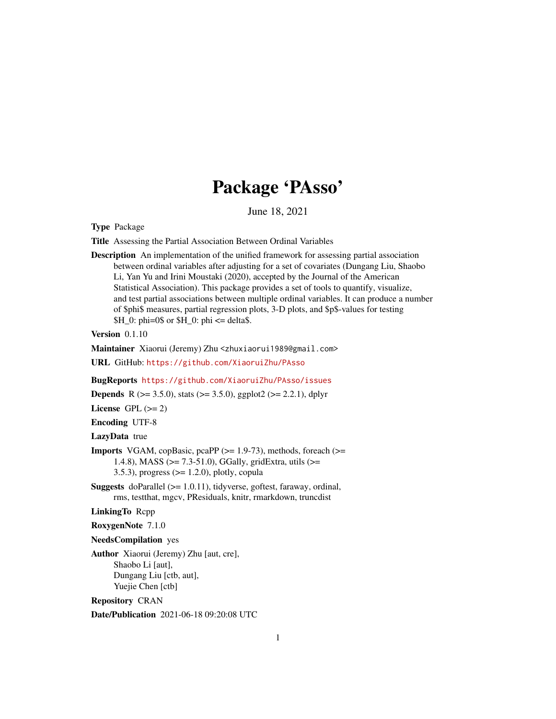## Package 'PAsso'

June 18, 2021

<span id="page-0-0"></span>Type Package

Title Assessing the Partial Association Between Ordinal Variables

Description An implementation of the unified framework for assessing partial association between ordinal variables after adjusting for a set of covariates (Dungang Liu, Shaobo Li, Yan Yu and Irini Moustaki (2020), accepted by the Journal of the American Statistical Association). This package provides a set of tools to quantify, visualize, and test partial associations between multiple ordinal variables. It can produce a number of \$phi\$ measures, partial regression plots, 3-D plots, and \$p\$-values for testing  $$H_0: phi=0$  or  $$H_0: phi \leq delta$ .

Version 0.1.10

Maintainer Xiaorui (Jeremy) Zhu <zhuxiaorui1989@gmail.com>

URL GitHub: <https://github.com/XiaoruiZhu/PAsso>

BugReports <https://github.com/XiaoruiZhu/PAsso/issues>

**Depends** R ( $>= 3.5.0$ ), stats ( $>= 3.5.0$ ), ggplot2 ( $>= 2.2.1$ ), dplyr

License GPL  $(>= 2)$ 

Encoding UTF-8

LazyData true

- **Imports** VGAM, copBasic, pcaPP  $(>= 1.9-73)$ , methods, foreach  $(>= 1.9-73)$ 1.4.8), MASS (>= 7.3-51.0), GGally, gridExtra, utils (>= 3.5.3), progress  $(>= 1.2.0)$ , plotly, copula
- Suggests doParallel (>= 1.0.11), tidyverse, goftest, faraway, ordinal, rms, testthat, mgcv, PResiduals, knitr, rmarkdown, truncdist

#### LinkingTo Rcpp

RoxygenNote 7.1.0

#### NeedsCompilation yes

Author Xiaorui (Jeremy) Zhu [aut, cre], Shaobo Li [aut], Dungang Liu [ctb, aut], Yuejie Chen [ctb]

Repository CRAN

Date/Publication 2021-06-18 09:20:08 UTC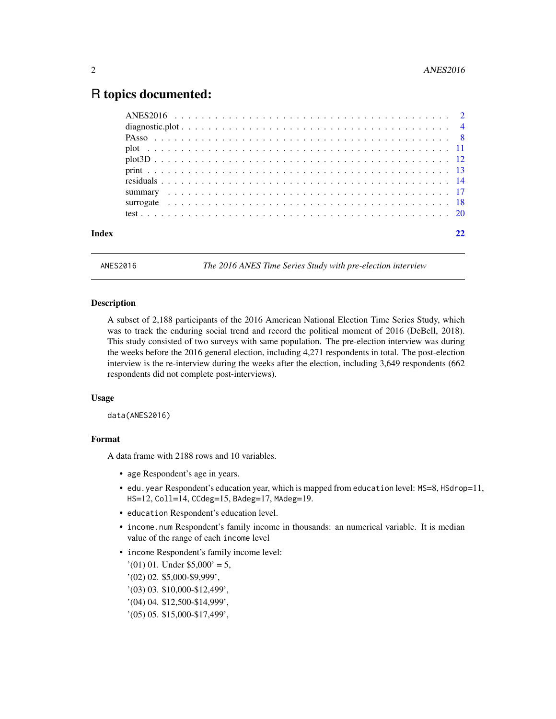## <span id="page-1-0"></span>R topics documented:

| Index |  |
|-------|--|
|       |  |
|       |  |
|       |  |
|       |  |
|       |  |
|       |  |
|       |  |
|       |  |
|       |  |
|       |  |

ANES2016 *The 2016 ANES Time Series Study with pre-election interview*

#### Description

A subset of 2,188 participants of the 2016 American National Election Time Series Study, which was to track the enduring social trend and record the political moment of 2016 (DeBell, 2018). This study consisted of two surveys with same population. The pre-election interview was during the weeks before the 2016 general election, including 4,271 respondents in total. The post-election interview is the re-interview during the weeks after the election, including 3,649 respondents (662 respondents did not complete post-interviews).

#### Usage

data(ANES2016)

## Format

A data frame with 2188 rows and 10 variables.

- age Respondent's age in years.
- edu.year Respondent's education year, which is mapped from education level: MS=8, HSdrop=11, HS=12, Coll=14, CCdeg=15, BAdeg=17, MAdeg=19.
- education Respondent's education level.
- income, num Respondent's family income in thousands: an numerical variable. It is median value of the range of each income level
- income Respondent's family income level:
	- $'(01)$  01. Under \$5,000' = 5,
	- '(02) 02. \$5,000-\$9,999',
	- '(03) 03. \$10,000-\$12,499',
	- '(04) 04. \$12,500-\$14,999',
	- '(05) 05. \$15,000-\$17,499',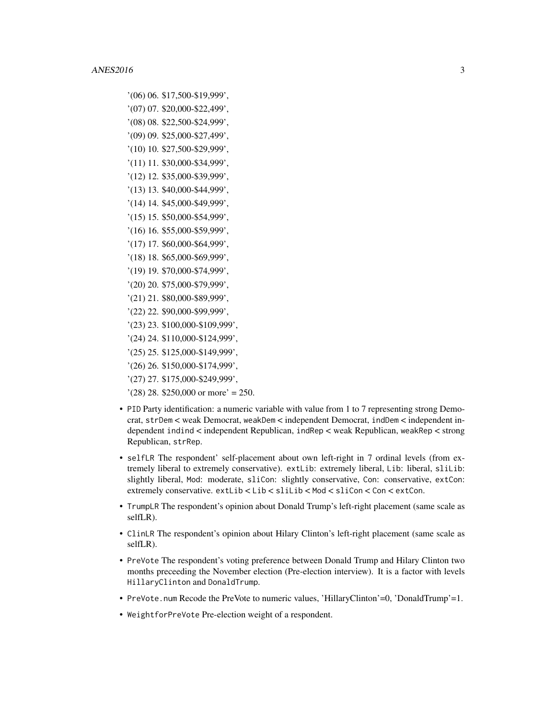- '(06) 06. \$17,500-\$19,999',
- '(07) 07. \$20,000-\$22,499',
- '(08) 08. \$22,500-\$24,999',
- '(09) 09. \$25,000-\$27,499',
- '(10) 10. \$27,500-\$29,999',
- '(11) 11. \$30,000-\$34,999',
- '(12) 12. \$35,000-\$39,999',
- '(13) 13. \$40,000-\$44,999', '(14) 14. \$45,000-\$49,999',
- '(15) 15. \$50,000-\$54,999',
- '(16) 16. \$55,000-\$59,999',
- '(17) 17. \$60,000-\$64,999',
- '(18) 18. \$65,000-\$69,999',
- '(19) 19. \$70,000-\$74,999',
- '(20) 20. \$75,000-\$79,999',
- '(21) 21. \$80,000-\$89,999',
- '(22) 22. \$90,000-\$99,999',
- '(23) 23. \$100,000-\$109,999',
- '(24) 24. \$110,000-\$124,999',
- '(25) 25. \$125,000-\$149,999',
- '(26) 26. \$150,000-\$174,999',
- '(27) 27. \$175,000-\$249,999',
- $(28)$  28. \$250,000 or more' = 250.
- PID Party identification: a numeric variable with value from 1 to 7 representing strong Democrat, strDem < weak Democrat, weakDem < independent Democrat, indDem < independent independent indind < independent Republican, indRep < weak Republican, weakRep < strong Republican, strRep.
- selfLR The respondent' self-placement about own left-right in 7 ordinal levels (from extremely liberal to extremely conservative). extLib: extremely liberal, Lib: liberal, sliLib: slightly liberal, Mod: moderate, sliCon: slightly conservative, Con: conservative, extCon: extremely conservative. extLib < Lib < sliLib < Mod < sliCon < Con < extCon.
- TrumpLR The respondent's opinion about Donald Trump's left-right placement (same scale as selfLR).
- ClinLR The respondent's opinion about Hilary Clinton's left-right placement (same scale as selfLR).
- PreVote The respondent's voting preference between Donald Trump and Hilary Clinton two months preceeding the November election (Pre-election interview). It is a factor with levels HillaryClinton and DonaldTrump.
- PreVote.num Recode the PreVote to numeric values, 'HillaryClinton'=0, 'DonaldTrump'=1.
- WeightforPreVote Pre-election weight of a respondent.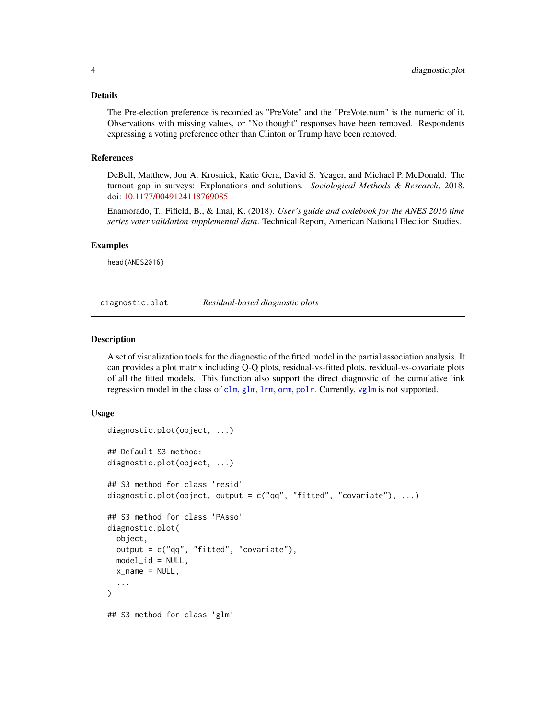#### <span id="page-3-0"></span>Details

The Pre-election preference is recorded as "PreVote" and the "PreVote.num" is the numeric of it. Observations with missing values, or "No thought" responses have been removed. Respondents expressing a voting preference other than Clinton or Trump have been removed.

#### References

DeBell, Matthew, Jon A. Krosnick, Katie Gera, David S. Yeager, and Michael P. McDonald. The turnout gap in surveys: Explanations and solutions. *Sociological Methods & Research*, 2018. doi: [10.1177/0049124118769085](https://doi.org/10.1177/0049124118769085)

Enamorado, T., Fifield, B., & Imai, K. (2018). *User's guide and codebook for the ANES 2016 time series voter validation supplemental data*. Technical Report, American National Election Studies.

#### Examples

head(ANES2016)

diagnostic.plot *Residual-based diagnostic plots*

#### Description

A set of visualization tools for the diagnostic of the fitted model in the partial association analysis. It can provides a plot matrix including Q-Q plots, residual-vs-fitted plots, residual-vs-covariate plots of all the fitted models. This function also support the direct diagnostic of the cumulative link regression model in the class of [clm](#page-0-0), [glm](#page-0-0), [lrm](#page-0-0), [orm](#page-0-0), [polr](#page-0-0). Currently, [vglm](#page-0-0) is not supported.

#### Usage

```
diagnostic.plot(object, ...)
## Default S3 method:
diagnostic.plot(object, ...)
## S3 method for class 'resid'
diagnostic.plot(object, output = c("qq", "fitted", "covariate"), ...)
## S3 method for class 'PAsso'
diagnostic.plot(
  object,
  output = c("qq", "fitted", "covariate"),
 model_id = NULL,x_name = NULL,...
)
## S3 method for class 'glm'
```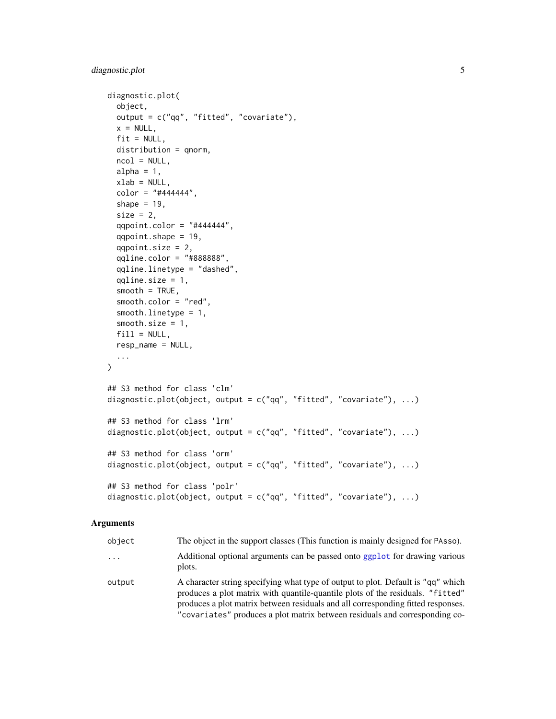```
diagnostic.plot(
 object,
 output = c("qq", "fitted", "covariate"),
 x = NULL,fit = NULL,distribution = qnorm,
 ncol = NULL,alpha = 1,
 xlab = NULL,
 color = "#444444",
  shape = 19,
  size = 2,
 qqpoint.color = "#444444",
  qqpoint.shape = 19,
  qqpoint.size = 2,
  qqline.color = "#888888",
  qqline.linetype = "dashed",
  qqline.size = 1,
  smooth = TRUE,
  smooth.color = "red",
  smooth.linetype = 1,
 smooth.size = 1,
 fill = NULL,resp_name = NULL,
  ...
\mathcal{L}## S3 method for class 'clm'
diagnostic.plot(object, output = c("qq", "fitted", "covariate"), ...)
## S3 method for class 'lrm'
diagnostic.plot(object, output = c("qq", "fitted", "covariate"), ...)
## S3 method for class 'orm'
diagnostic.plot(object, output = c("qq", "fitted", "covariate"), ...)
## S3 method for class 'polr'
diagnostic.plot(object, output = c("qq", "fitted", "covariate"), ...)
```

| object | The object in the support classes (This function is mainly designed for PAsso).                                                                                                                                                                                                                                                       |
|--------|---------------------------------------------------------------------------------------------------------------------------------------------------------------------------------------------------------------------------------------------------------------------------------------------------------------------------------------|
| .      | Additional optional arguments can be passed onto ggplot for drawing various<br>plots.                                                                                                                                                                                                                                                 |
| output | A character string specifying what type of output to plot. Default is "qq" which<br>produces a plot matrix with quantile-quantile plots of the residuals. "fitted"<br>produces a plot matrix between residuals and all corresponding fitted responses.<br>"covariates" produces a plot matrix between residuals and corresponding co- |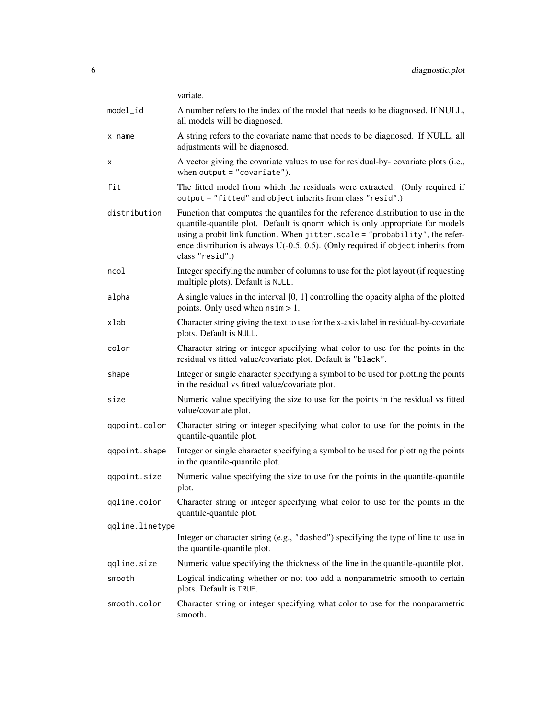|                 | variate.                                                                                                                                                                                                                                                                                                                                                    |  |
|-----------------|-------------------------------------------------------------------------------------------------------------------------------------------------------------------------------------------------------------------------------------------------------------------------------------------------------------------------------------------------------------|--|
| model_id        | A number refers to the index of the model that needs to be diagnosed. If NULL,<br>all models will be diagnosed.                                                                                                                                                                                                                                             |  |
| x_name          | A string refers to the covariate name that needs to be diagnosed. If NULL, all<br>adjustments will be diagnosed.                                                                                                                                                                                                                                            |  |
| х               | A vector giving the covariate values to use for residual-by-covariate plots (i.e.,<br>when output $=$ "covariate").                                                                                                                                                                                                                                         |  |
| fit             | The fitted model from which the residuals were extracted. (Only required if<br>output = "fitted" and object inherits from class "resid".)                                                                                                                                                                                                                   |  |
| distribution    | Function that computes the quantiles for the reference distribution to use in the<br>quantile-quantile plot. Default is qnorm which is only appropriate for models<br>using a probit link function. When jitter.scale = "probability", the refer-<br>ence distribution is always $U(-0.5, 0.5)$ . (Only required if object inherits from<br>class "resid".) |  |
| ncol            | Integer specifying the number of columns to use for the plot layout (if requesting<br>multiple plots). Default is NULL.                                                                                                                                                                                                                                     |  |
| alpha           | A single values in the interval $[0, 1]$ controlling the opacity alpha of the plotted<br>points. Only used when $nsim > 1$ .                                                                                                                                                                                                                                |  |
| xlab            | Character string giving the text to use for the x-axis label in residual-by-covariate<br>plots. Default is NULL.                                                                                                                                                                                                                                            |  |
| color           | Character string or integer specifying what color to use for the points in the<br>residual vs fitted value/covariate plot. Default is "black".                                                                                                                                                                                                              |  |
| shape           | Integer or single character specifying a symbol to be used for plotting the points<br>in the residual vs fitted value/covariate plot.                                                                                                                                                                                                                       |  |
| size            | Numeric value specifying the size to use for the points in the residual vs fitted<br>value/covariate plot.                                                                                                                                                                                                                                                  |  |
| qqpoint.color   | Character string or integer specifying what color to use for the points in the<br>quantile-quantile plot.                                                                                                                                                                                                                                                   |  |
| qqpoint.shape   | Integer or single character specifying a symbol to be used for plotting the points<br>in the quantile-quantile plot.                                                                                                                                                                                                                                        |  |
| qqpoint.size    | Numeric value specifying the size to use for the points in the quantile-quantile<br>plot.                                                                                                                                                                                                                                                                   |  |
| qqline.color    | Character string or integer specifying what color to use for the points in the<br>quantile-quantile plot.                                                                                                                                                                                                                                                   |  |
| qqline.linetype |                                                                                                                                                                                                                                                                                                                                                             |  |
|                 | Integer or character string (e.g., "dashed") specifying the type of line to use in<br>the quantile-quantile plot.                                                                                                                                                                                                                                           |  |
| qqline.size     | Numeric value specifying the thickness of the line in the quantile-quantile plot.                                                                                                                                                                                                                                                                           |  |
| smooth          | Logical indicating whether or not too add a nonparametric smooth to certain<br>plots. Default is TRUE.                                                                                                                                                                                                                                                      |  |
| smooth.color    | Character string or integer specifying what color to use for the nonparametric<br>smooth.                                                                                                                                                                                                                                                                   |  |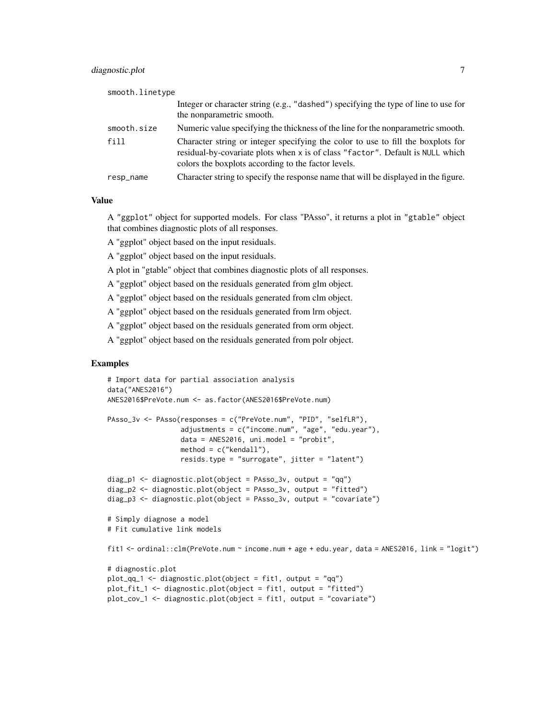| smooth.linetype |                                                                                                                                                                                                                           |
|-----------------|---------------------------------------------------------------------------------------------------------------------------------------------------------------------------------------------------------------------------|
|                 | Integer or character string (e.g., "dashed") specifying the type of line to use for<br>the nonparametric smooth.                                                                                                          |
| smooth.size     | Numeric value specifying the thickness of the line for the nonparametric smooth.                                                                                                                                          |
| fill            | Character string or integer specifying the color to use to fill the boxplots for<br>residual-by-covariate plots when x is of class "factor". Default is NULL which<br>colors the boxplots according to the factor levels. |
| resp_name       | Character string to specify the response name that will be displayed in the figure.                                                                                                                                       |

## Value

A "ggplot" object for supported models. For class "PAsso", it returns a plot in "gtable" object that combines diagnostic plots of all responses.

- A "ggplot" object based on the input residuals.
- A "ggplot" object based on the input residuals.

A plot in "gtable" object that combines diagnostic plots of all responses.

A "ggplot" object based on the residuals generated from glm object.

A "ggplot" object based on the residuals generated from clm object.

A "ggplot" object based on the residuals generated from lrm object.

A "ggplot" object based on the residuals generated from orm object.

A "ggplot" object based on the residuals generated from polr object.

#### Examples

```
# Import data for partial association analysis
data("ANES2016")
ANES2016$PreVote.num <- as.factor(ANES2016$PreVote.num)
PAsso_3v <- PAsso(responses = c("PreVote.num", "PID", "selfLR"),
                  adjustments = c("income.num", "age", "edu.year"),
                  data = ANES2016, uni.model = "probit",
                  method = c("kendall"),
                  resids.type = "surrogate", jitter = "latent")
diag_p1 <- diagnostic.plot(object = PAsso_3v, output = "qq")
diag_p2 <- diagnostic.plot(object = PAsso_3v, output = "fitted")
diag_p3 <- diagnostic.plot(object = PAsso_3v, output = "covariate")
# Simply diagnose a model
# Fit cumulative link models
fit1 <- ordinal::clm(PreVote.num ~ income.num + age + edu.year, data = ANES2016, link = "logit")
# diagnostic.plot
plot_qq_1 <- diagnostic.plot(object = fit1, output = "qq")
plot_fit_1 <- diagnostic.plot(object = fit1, output = "fitted")
plot_cov_1 <- diagnostic.plot(object = fit1, output = "covariate")
```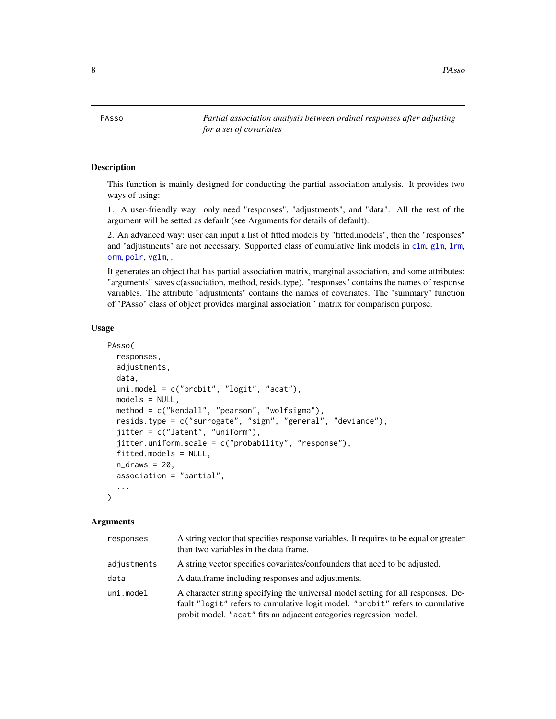<span id="page-7-0"></span>8 **PAsso** 

PAsso *Partial association analysis between ordinal responses after adjusting for a set of covariates*

## **Description**

This function is mainly designed for conducting the partial association analysis. It provides two ways of using:

1. A user-friendly way: only need "responses", "adjustments", and "data". All the rest of the argument will be setted as default (see Arguments for details of default).

2. An advanced way: user can input a list of fitted models by "fitted.models", then the "responses" and "adjustments" are not necessary. Supported class of cumulative link models in [clm](#page-0-0), [glm](#page-0-0), [lrm](#page-0-0), [orm](#page-0-0), [polr](#page-0-0), [vglm](#page-0-0), .

It generates an object that has partial association matrix, marginal association, and some attributes: "arguments" saves c(association, method, resids.type). "responses" contains the names of response variables. The attribute "adjustments" contains the names of covariates. The "summary" function of "PAsso" class of object provides marginal association ' matrix for comparison purpose.

#### Usage

```
PAsso(
  responses,
  adjustments,
  data,
  uni.model = c("probit", "logit", "acat"),
  models = NULL,
  method = c("kendall", "pearson", "wolfsigma"),
  resids.type = c("surrogate", "sign", "general", "deviance"),
  jitter = c("latent", "uniform"),
  jitter.uniform.scale = c("probability", "response"),
  fitted.models = NULL,
  n_{\text{max}} = 20,
  association = "partial",
  ...
)
```

| responses   | A string vector that specifies response variables. It requires to be equal or greater<br>than two variables in the data frame.                                                                                                          |
|-------------|-----------------------------------------------------------------------------------------------------------------------------------------------------------------------------------------------------------------------------------------|
| adjustments | A string vector specifies covariates/confounders that need to be adjusted.                                                                                                                                                              |
| data        | A data frame including responses and adjustments.                                                                                                                                                                                       |
| uni.model   | A character string specifying the universal model setting for all responses. De-<br>fault "logit" refers to cumulative logit model. "probit" refers to cumulative<br>probit model. "acat" fits an adjacent categories regression model. |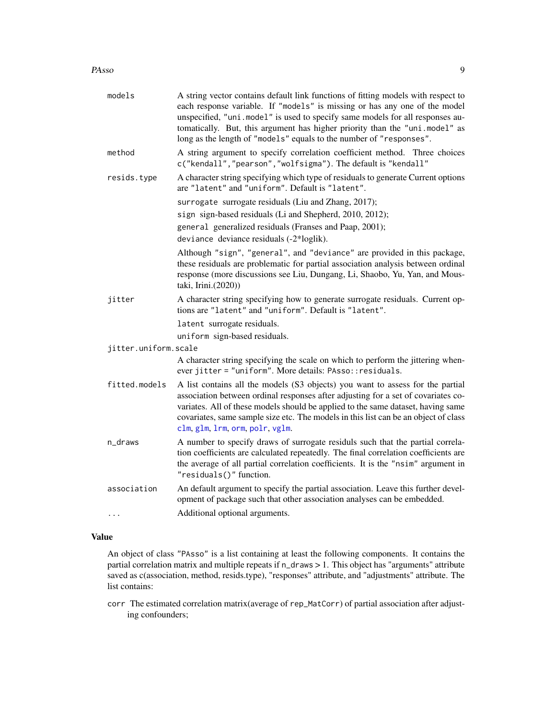#### <span id="page-8-0"></span>PAsso 9

| models               | A string vector contains default link functions of fitting models with respect to<br>each response variable. If "models" is missing or has any one of the model<br>unspecified, "uni.model" is used to specify same models for all responses au-<br>tomatically. But, this argument has higher priority than the "uni.model" as<br>long as the length of "models" equals to the number of "responses". |
|----------------------|--------------------------------------------------------------------------------------------------------------------------------------------------------------------------------------------------------------------------------------------------------------------------------------------------------------------------------------------------------------------------------------------------------|
| method               | A string argument to specify correlation coefficient method. Three choices<br>c("kendall","pearson","wolfsigma"). The default is "kendall"                                                                                                                                                                                                                                                             |
| resids.type          | A character string specifying which type of residuals to generate Current options<br>are "latent" and "uniform". Default is "latent".                                                                                                                                                                                                                                                                  |
|                      | surrogate surrogate residuals (Liu and Zhang, 2017);<br>sign sign-based residuals (Li and Shepherd, 2010, 2012);<br>general generalized residuals (Franses and Paap, 2001);<br>deviance deviance residuals (-2*loglik).                                                                                                                                                                                |
|                      | Although "sign", "general", and "deviance" are provided in this package,<br>these residuals are problematic for partial association analysis between ordinal<br>response (more discussions see Liu, Dungang, Li, Shaobo, Yu, Yan, and Mous-<br>taki, Irini.(2020))                                                                                                                                     |
| jitter               | A character string specifying how to generate surrogate residuals. Current op-<br>tions are "latent" and "uniform". Default is "latent".                                                                                                                                                                                                                                                               |
|                      | latent surrogate residuals.                                                                                                                                                                                                                                                                                                                                                                            |
|                      | uniform sign-based residuals.                                                                                                                                                                                                                                                                                                                                                                          |
| jitter.uniform.scale |                                                                                                                                                                                                                                                                                                                                                                                                        |
|                      | A character string specifying the scale on which to perform the jittering when-<br>ever jitter = "uniform". More details: PAsso:: residuals.                                                                                                                                                                                                                                                           |
| fitted.models        | A list contains all the models (S3 objects) you want to assess for the partial<br>association between ordinal responses after adjusting for a set of covariates co-<br>variates. All of these models should be applied to the same dataset, having same<br>covariates, same sample size etc. The models in this list can be an object of class<br>clm, glm, 1rm, orm, polr, vglm.                      |
| n_draws              | A number to specify draws of surrogate residuls such that the partial correla-<br>tion coefficients are calculated repeatedly. The final correlation coefficients are<br>the average of all partial correlation coefficients. It is the "nsim" argument in<br>"residuals()" function.                                                                                                                  |
| association          | An default argument to specify the partial association. Leave this further devel-<br>opment of package such that other association analyses can be embedded.                                                                                                                                                                                                                                           |
| $\cdots$             | Additional optional arguments.                                                                                                                                                                                                                                                                                                                                                                         |

## Value

An object of class "PAsso" is a list containing at least the following components. It contains the partial correlation matrix and multiple repeats if n\_draws > 1. This object has "arguments" attribute saved as c(association, method, resids.type), "responses" attribute, and "adjustments" attribute. The list contains:

corr The estimated correlation matrix(average of rep\_MatCorr) of partial association after adjusting confounders;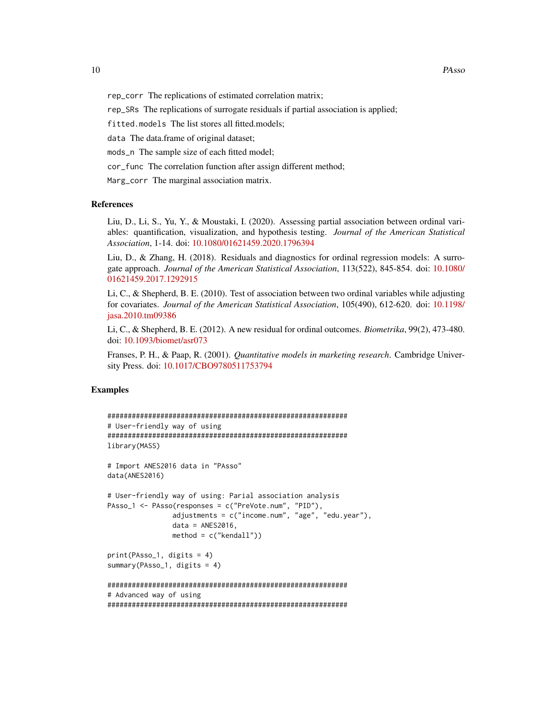rep\_corr The replications of estimated correlation matrix;

rep\_SRs The replications of surrogate residuals if partial association is applied;

fitted.models The list stores all fitted.models;

data The data.frame of original dataset;

mods\_n The sample size of each fitted model;

cor\_func The correlation function after assign different method;

Marg\_corr The marginal association matrix.

#### References

Liu, D., Li, S., Yu, Y., & Moustaki, I. (2020). Assessing partial association between ordinal variables: quantification, visualization, and hypothesis testing. *Journal of the American Statistical Association*, 1-14. doi: [10.1080/01621459.2020.1796394](https://doi.org/10.1080/01621459.2020.1796394)

Liu, D., & Zhang, H. (2018). Residuals and diagnostics for ordinal regression models: A surrogate approach. *Journal of the American Statistical Association*, 113(522), 845-854. doi: [10.1080/](https://doi.org/10.1080/01621459.2017.1292915) [01621459.2017.1292915](https://doi.org/10.1080/01621459.2017.1292915)

Li, C., & Shepherd, B. E. (2010). Test of association between two ordinal variables while adjusting for covariates. *Journal of the American Statistical Association*, 105(490), 612-620. doi: [10.1198/](https://doi.org/10.1198/jasa.2010.tm09386) [jasa.2010.tm09386](https://doi.org/10.1198/jasa.2010.tm09386)

Li, C., & Shepherd, B. E. (2012). A new residual for ordinal outcomes. *Biometrika*, 99(2), 473-480. doi: [10.1093/biomet/asr073](https://doi.org/10.1093/biomet/asr073)

Franses, P. H., & Paap, R. (2001). *Quantitative models in marketing research*. Cambridge University Press. doi: [10.1017/CBO9780511753794](https://doi.org/10.1017/CBO9780511753794)

#### Examples

```
###########################################################
# User-friendly way of using
###########################################################
library(MASS)
# Import ANES2016 data in "PAsso"
data(ANES2016)
# User-friendly way of using: Parial association analysis
PAsso_1 <- PAsso(responses = c("PreVote.num", "PID"),
                adjustments = c("income.num", "age", "edu.year"),
                data = ANES2016,
               method = c("kendall"))
print(PAsso_1, digits = 4)
summary(PAsso_1, digits = 4)
###########################################################
# Advanced way of using
###########################################################
```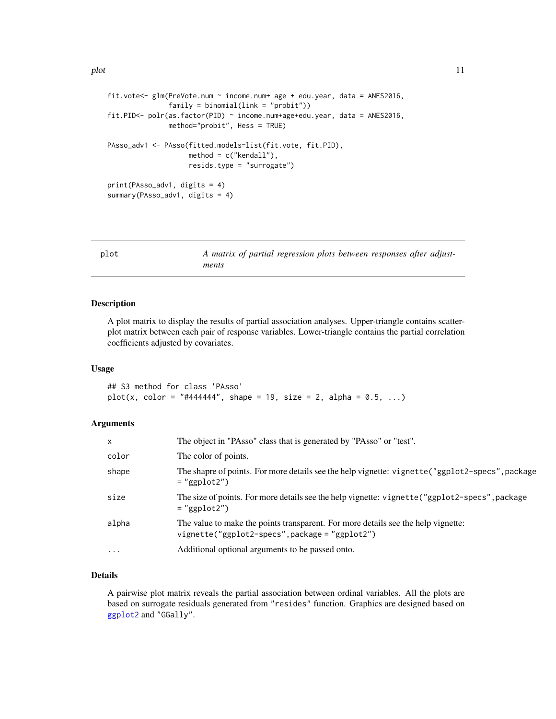```
fit.vote<- glm(PreVote.num ~ income.num+ age + edu.year, data = ANES2016,
               family = binomial(link = "probit"))
fit.PID<- polr(as.factor(PID) ~ income.num+age+edu.year, data = ANES2016,
              method="probit", Hess = TRUE)
PAsso_adv1 <- PAsso(fitted.models=list(fit.vote, fit.PID),
                    method = c("kendall"),
                    resids.type = "surrogate")
print(PAsso_adv1, digits = 4)
summary(PAsso_adv1, digits = 4)
```
plot *A matrix of partial regression plots between responses after adjustments*

#### Description

A plot matrix to display the results of partial association analyses. Upper-triangle contains scatterplot matrix between each pair of response variables. Lower-triangle contains the partial correlation coefficients adjusted by covariates.

#### Usage

## S3 method for class 'PAsso'  $plot(x, color = "#444444", shape = 19, size = 2, alpha = 0.5, ...)$ 

#### Arguments

| $\mathsf{x}$ | The object in "PAsso" class that is generated by "PAsso" or "test".                                                                 |
|--------------|-------------------------------------------------------------------------------------------------------------------------------------|
| color        | The color of points.                                                                                                                |
| shape        | The shapre of points. For more details see the help vignette: vignette("ggplot2-specs", package<br>$=$ "ggplot2")                   |
| size         | The size of points. For more details see the help vignette: vignette("ggplot2-specs", package<br>$=$ "ggplot2")                     |
| alpha        | The value to make the points transparent. For more details see the help vignette:<br>vignette("ggplot2-specs", package = "ggplot2") |
| $\ddotsc$    | Additional optional arguments to be passed onto.                                                                                    |

## Details

A pairwise plot matrix reveals the partial association between ordinal variables. All the plots are based on surrogate residuals generated from "resides" function. Graphics are designed based on [ggplot2](#page-0-0) and "GGally".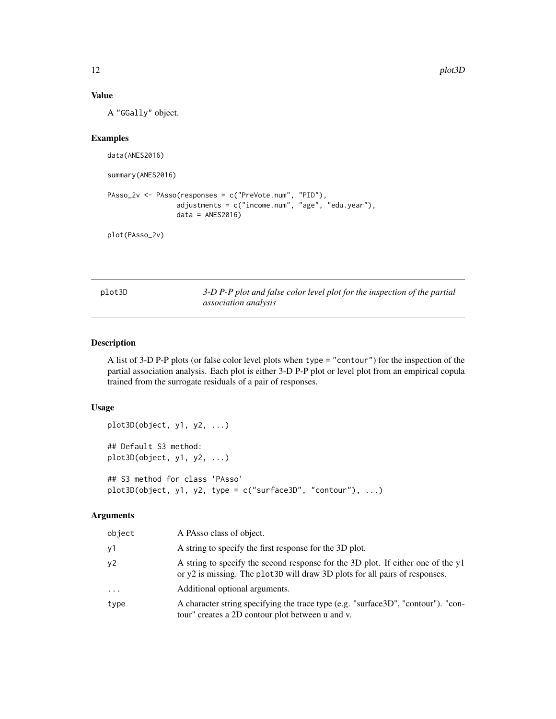## Value

A "GGally" object.

## Examples

```
data(ANES2016)
summary(ANES2016)
PAsso_2v <- PAsso(responses = c("PreVote.num", "PID"),
                 adjustments = c("income.num", "age", "edu.year"),
                 data = ANES2016)
```
plot(PAsso\_2v)

plot3D *3-D P-P plot and false color level plot for the inspection of the partial association analysis*

#### Description

A list of 3-D P-P plots (or false color level plots when type = "contour") for the inspection of the partial association analysis. Each plot is either 3-D P-P plot or level plot from an empirical copula trained from the surrogate residuals of a pair of responses.

## Usage

```
plot3D(object, y1, y2, ...)
## Default S3 method:
plot3D(object, y1, y2, ...)
## S3 method for class 'PAsso'
plot3D(object, y1, y2, type = c("surface3D", "contour"), ...)
```

| object   | A PAsso class of object.                                                                                                                                         |
|----------|------------------------------------------------------------------------------------------------------------------------------------------------------------------|
| y1       | A string to specify the first response for the 3D plot.                                                                                                          |
| y2       | A string to specify the second response for the 3D plot. If either one of the y1<br>or y2 is missing. The plot 3D will draw 3D plots for all pairs of responses. |
| $\cdots$ | Additional optional arguments.                                                                                                                                   |
| type     | A character string specifying the trace type (e.g. "surface3D", "contour"). "con-<br>tour" creates a 2D contour plot between u and v.                            |

<span id="page-11-0"></span>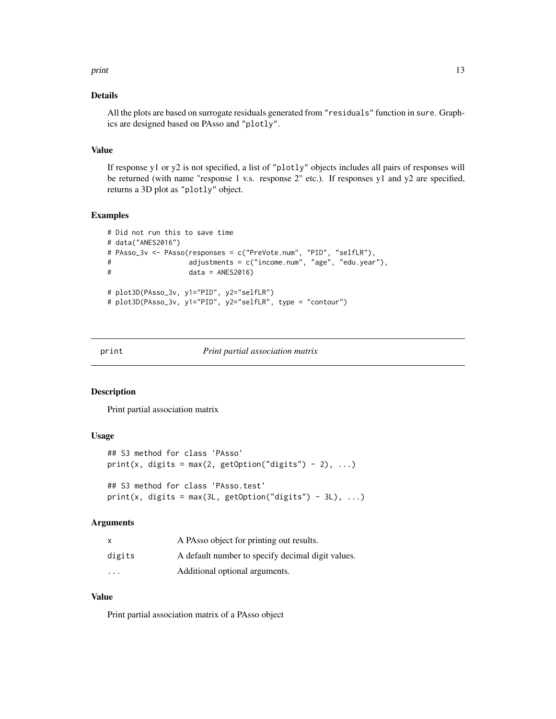#### <span id="page-12-0"></span>print that the contract of the contract of the contract of the contract of the contract of the contract of the contract of the contract of the contract of the contract of the contract of the contract of the contract of the

#### Details

All the plots are based on surrogate residuals generated from "residuals" function in sure. Graphics are designed based on PAsso and "plotly".

## Value

If response y1 or y2 is not specified, a list of "plotly" objects includes all pairs of responses will be returned (with name "response 1 v.s. response 2" etc.). If responses y1 and y2 are specified, returns a 3D plot as "plotly" object.

#### Examples

```
# Did not run this to save time
# data("ANES2016")
# PAsso_3v <- PAsso(responses = c("PreVote.num", "PID", "selfLR"),
# adjustments = c("income.num", "age", "edu.year"),
# data = ANES2016)
# plot3D(PAsso_3v, y1="PID", y2="selfLR")
# plot3D(PAsso_3v, y1="PID", y2="selfLR", type = "contour")
```
#### print *Print partial association matrix*

#### Description

Print partial association matrix

#### Usage

```
## S3 method for class 'PAsso'
print(x, digits = max(2, getOption("digits") - 2), ...)
## S3 method for class 'PAsso.test'
print(x, digits = max(3L, getOption("digits") - 3L), ...)
```
#### Arguments

|                         | A PAsso object for printing out results.          |
|-------------------------|---------------------------------------------------|
| digits                  | A default number to specify decimal digit values. |
| $\cdot$ $\cdot$ $\cdot$ | Additional optional arguments.                    |

## Value

Print partial association matrix of a PAsso object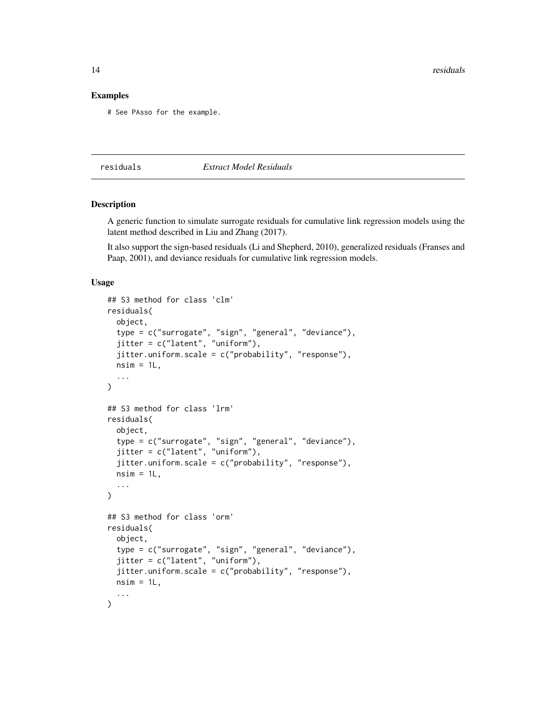<span id="page-13-0"></span>14 residuals

#### Examples

# See PAsso for the example.

residuals *Extract Model Residuals*

## Description

A generic function to simulate surrogate residuals for cumulative link regression models using the latent method described in Liu and Zhang (2017).

It also support the sign-based residuals (Li and Shepherd, 2010), generalized residuals (Franses and Paap, 2001), and deviance residuals for cumulative link regression models.

#### Usage

```
## S3 method for class 'clm'
residuals(
 object,
  type = c("surrogate", "sign", "general", "deviance"),
  jitter = c("latent", "uniform"),
  jitter.uniform.scale = c("probability", "response"),
 nsim = 1L,
  ...
\lambda## S3 method for class 'lrm'
residuals(
 object,
  type = c("surrogate", "sign", "general", "deviance"),
  jitter = c("latent", "uniform"),
  jitter.uniform.scale = c("probability", "response"),
 nsim = 1L,
  ...
\lambda## S3 method for class 'orm'
residuals(
 object,
  type = c("surrogate", "sign", "general", "deviance"),
  jitter = c("latent", "uniform"),
  jitter.uniform.scale = c("probability", "response"),
 nsim = 1L,
  ...
)
```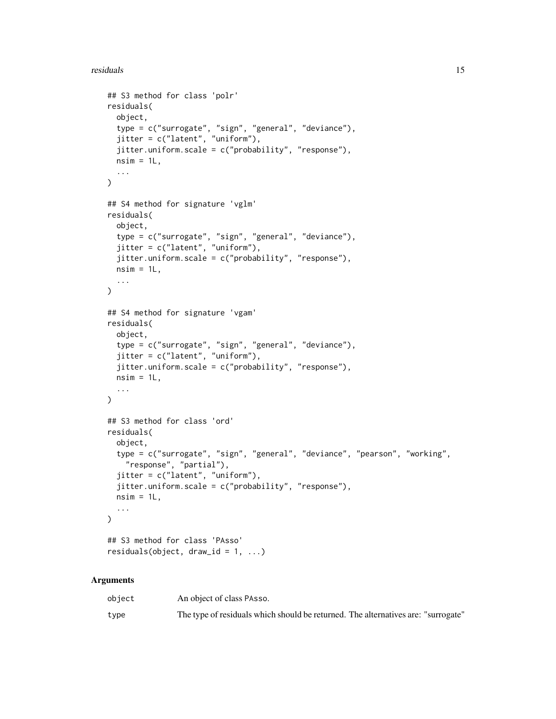```
## S3 method for class 'polr'
residuals(
  object,
  type = c("surrogate", "sign", "general", "deviance"),
  jitter = c("latent", "uniform"),
  jitter.uniform.scale = c("probability", "response"),
 nsim = 1L,
  ...
)
## S4 method for signature 'vglm'
residuals(
  object,
  type = c("surrogate", "sign", "general", "deviance"),
  jitter = c("latent", "uniform"),
  jitter.uniform.scale = c("probability", "response"),
 nsim = 1L,
  ...
\lambda## S4 method for signature 'vgam'
residuals(
 object,
  type = c("surrogate", "sign", "general", "deviance"),
  jitter = c("latent", "uniform"),
  jitter.uniform.scale = c("probability", "response"),
 nsim = 1L,...
\mathcal{L}## S3 method for class 'ord'
residuals(
  object,
  type = c("surrogate", "sign", "general", "deviance", "pearson", "working",
    "response", "partial"),
  jitter = c("latent", "uniform"),
  jitter.uniform.scale = c("probability", "response"),
 nsim = 1L,
  ...
\mathcal{L}## S3 method for class 'PAsso'
residuals(object, draw_id = 1, ...)
```

| object | An object of class PAsso.                                                         |
|--------|-----------------------------------------------------------------------------------|
| type   | The type of residuals which should be returned. The alternatives are: "surrogate" |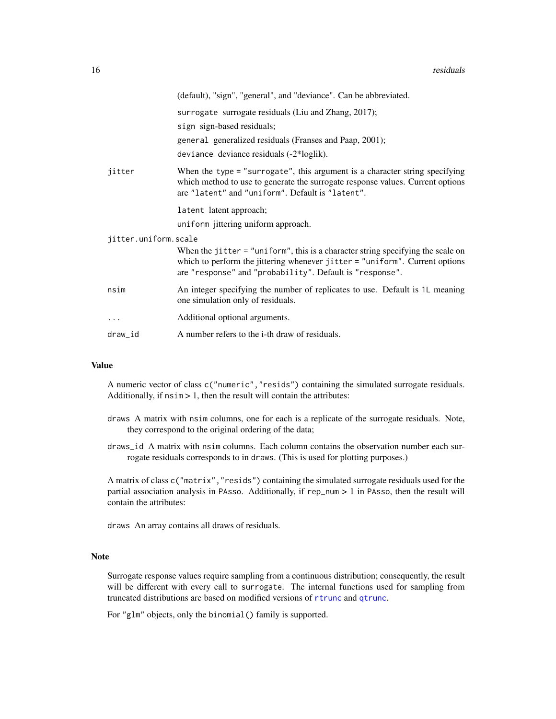<span id="page-15-0"></span>

|                      | (default), "sign", "general", and "deviance". Can be abbreviated.                                                                                                                                                            |  |
|----------------------|------------------------------------------------------------------------------------------------------------------------------------------------------------------------------------------------------------------------------|--|
|                      | surrogate surrogate residuals (Liu and Zhang, 2017);                                                                                                                                                                         |  |
|                      | sign sign-based residuals;                                                                                                                                                                                                   |  |
|                      | general generalized residuals (Franses and Paap, 2001);                                                                                                                                                                      |  |
|                      | deviance deviance residuals (-2*loglik).                                                                                                                                                                                     |  |
| jitter               | When the type $=$ "surrogate", this argument is a character string specifying<br>which method to use to generate the surrogate response values. Current options<br>are "latent" and "uniform". Default is "latent".          |  |
|                      | latent latent approach;                                                                                                                                                                                                      |  |
|                      | uniform jittering uniform approach.                                                                                                                                                                                          |  |
| jitter.uniform.scale |                                                                                                                                                                                                                              |  |
|                      | When the jitter $=$ "uniform", this is a character string specifying the scale on<br>which to perform the jittering whenever jitter = "uniform". Current options<br>are "response" and "probability". Default is "response". |  |
| nsim                 | An integer specifying the number of replicates to use. Default is 1L meaning<br>one simulation only of residuals.                                                                                                            |  |
| $\cdots$             | Additional optional arguments.                                                                                                                                                                                               |  |
| draw_id              | A number refers to the <i>i</i> -th draw of residuals.                                                                                                                                                                       |  |

## Value

A numeric vector of class c("numeric","resids") containing the simulated surrogate residuals. Additionally, if  $nsim > 1$ , then the result will contain the attributes:

- draws A matrix with nsim columns, one for each is a replicate of the surrogate residuals. Note, they correspond to the original ordering of the data;
- draws\_id A matrix with nsim columns. Each column contains the observation number each surrogate residuals corresponds to in draws. (This is used for plotting purposes.)

A matrix of class c("matrix","resids") containing the simulated surrogate residuals used for the partial association analysis in PAsso. Additionally, if rep\_num > 1 in PAsso, then the result will contain the attributes:

draws An array contains all draws of residuals.

## Note

Surrogate response values require sampling from a continuous distribution; consequently, the result will be different with every call to surrogate. The internal functions used for sampling from truncated distributions are based on modified versions of [rtrunc](#page-0-0) and [qtrunc](#page-0-0).

For "glm" objects, only the binomial() family is supported.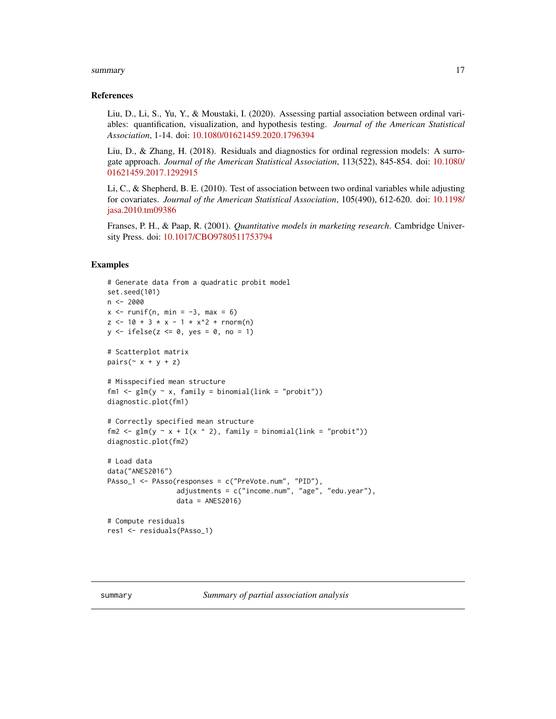#### <span id="page-16-0"></span>summary the contract of the contract of the contract of the contract of the contract of the contract of the contract of the contract of the contract of the contract of the contract of the contract of the contract of the co

#### References

Liu, D., Li, S., Yu, Y., & Moustaki, I. (2020). Assessing partial association between ordinal variables: quantification, visualization, and hypothesis testing. *Journal of the American Statistical Association*, 1-14. doi: [10.1080/01621459.2020.1796394](https://doi.org/10.1080/01621459.2020.1796394)

Liu, D., & Zhang, H. (2018). Residuals and diagnostics for ordinal regression models: A surrogate approach. *Journal of the American Statistical Association*, 113(522), 845-854. doi: [10.1080/](https://doi.org/10.1080/01621459.2017.1292915) [01621459.2017.1292915](https://doi.org/10.1080/01621459.2017.1292915)

Li, C., & Shepherd, B. E. (2010). Test of association between two ordinal variables while adjusting for covariates. *Journal of the American Statistical Association*, 105(490), 612-620. doi: [10.1198/](https://doi.org/10.1198/jasa.2010.tm09386) [jasa.2010.tm09386](https://doi.org/10.1198/jasa.2010.tm09386)

Franses, P. H., & Paap, R. (2001). *Quantitative models in marketing research*. Cambridge University Press. doi: [10.1017/CBO9780511753794](https://doi.org/10.1017/CBO9780511753794)

## Examples

```
# Generate data from a quadratic probit model
set.seed(101)
n < -2000x \le runif(n, min = -3, max = 6)
z \le -10 + 3 \times x - 1 \times x^2 + \text{norm}(n)y \leftarrow ifelse(z \leftarrow 0, yes = 0, no = 1)
# Scatterplot matrix
pairs(\sim x + y + z)
# Misspecified mean structure
fm1 <- glm(y \sim x, family = binomial(link = "probit"))
diagnostic.plot(fm1)
# Correctly specified mean structure
fm2 <- glm(y \sim x + I(x \sim 2), family = binomial(link = "probit"))
diagnostic.plot(fm2)
# Load data
data("ANES2016")
PAsso_1 <- PAsso(responses = c("PreVote.num", "PID"),
                  adjustments = c("income.num", "age", "edu.year"),
                  data = ANES2016# Compute residuals
res1 <- residuals(PAsso_1)
```
summary *Summary of partial association analysis*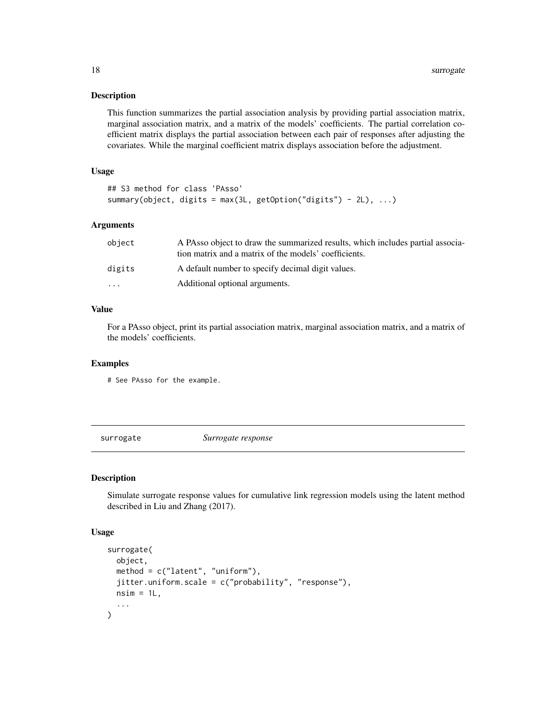#### <span id="page-17-0"></span>Description

This function summarizes the partial association analysis by providing partial association matrix, marginal association matrix, and a matrix of the models' coefficients. The partial correlation coefficient matrix displays the partial association between each pair of responses after adjusting the covariates. While the marginal coefficient matrix displays association before the adjustment.

#### Usage

```
## S3 method for class 'PAsso'
summary(object, digits = max(3L, getOption("digits") - 2L), \dots)
```
#### Arguments

| object                  | A PAsso object to draw the summarized results, which includes partial associa-<br>tion matrix and a matrix of the models' coefficients. |
|-------------------------|-----------------------------------------------------------------------------------------------------------------------------------------|
| digits                  | A default number to specify decimal digit values.                                                                                       |
| $\cdot$ $\cdot$ $\cdot$ | Additional optional arguments.                                                                                                          |

## Value

For a PAsso object, print its partial association matrix, marginal association matrix, and a matrix of the models' coefficients.

#### Examples

# See PAsso for the example.

surrogate *Surrogate response*

#### Description

Simulate surrogate response values for cumulative link regression models using the latent method described in Liu and Zhang (2017).

#### Usage

```
surrogate(
  object,
 method = c("latent", "uniform"),
  jitter.uniform.scale = c("probability", "response"),
 nsim = 1L,
  ...
)
```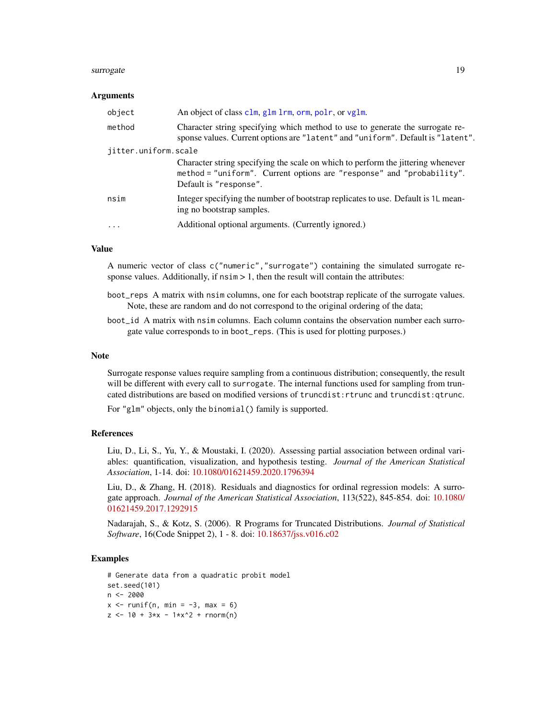#### <span id="page-18-0"></span>surrogate and the state of the state of the state of the state of the state of the state of the state of the state of the state of the state of the state of the state of the state of the state of the state of the state of

#### Arguments

| object               | An object of class clm, glm lrm, orm, polr, or vglm.                                                                                                                                |
|----------------------|-------------------------------------------------------------------------------------------------------------------------------------------------------------------------------------|
| method               | Character string specifying which method to use to generate the surrogate re-<br>sponse values. Current options are "latent" and "uniform". Default is "latent".                    |
| jitter.uniform.scale |                                                                                                                                                                                     |
|                      | Character string specifying the scale on which to perform the jittering whenever<br>method = "uniform". Current options are "response" and "probability".<br>Default is "response". |
| nsim                 | Integer specifying the number of bootstrap replicates to use. Default is 1L mean-<br>ing no bootstrap samples.                                                                      |
| $\cdot$              | Additional optional arguments. (Currently ignored.)                                                                                                                                 |

## Value

A numeric vector of class c("numeric","surrogate") containing the simulated surrogate response values. Additionally, if  $nsim > 1$ , then the result will contain the attributes:

- boot\_reps A matrix with nsim columns, one for each bootstrap replicate of the surrogate values. Note, these are random and do not correspond to the original ordering of the data;
- boot\_id A matrix with nsim columns. Each column contains the observation number each surrogate value corresponds to in boot\_reps. (This is used for plotting purposes.)

#### Note

Surrogate response values require sampling from a continuous distribution; consequently, the result will be different with every call to surrogate. The internal functions used for sampling from truncated distributions are based on modified versions of truncdist:rtrunc and truncdist:qtrunc.

For "glm" objects, only the binomial() family is supported.

#### References

Liu, D., Li, S., Yu, Y., & Moustaki, I. (2020). Assessing partial association between ordinal variables: quantification, visualization, and hypothesis testing. *Journal of the American Statistical Association*, 1-14. doi: [10.1080/01621459.2020.1796394](https://doi.org/10.1080/01621459.2020.1796394)

Liu, D., & Zhang, H. (2018). Residuals and diagnostics for ordinal regression models: A surrogate approach. *Journal of the American Statistical Association*, 113(522), 845-854. doi: [10.1080/](https://doi.org/10.1080/01621459.2017.1292915) [01621459.2017.1292915](https://doi.org/10.1080/01621459.2017.1292915)

Nadarajah, S., & Kotz, S. (2006). R Programs for Truncated Distributions. *Journal of Statistical Software*, 16(Code Snippet 2), 1 - 8. doi: [10.18637/jss.v016.c02](https://doi.org/10.18637/jss.v016.c02)

## Examples

```
# Generate data from a quadratic probit model
set.seed(101)
n < -2000x \le runif(n, min = -3, max = 6)
z \le -10 + 3*x - 1*x^2 + \text{rnorm}(n)
```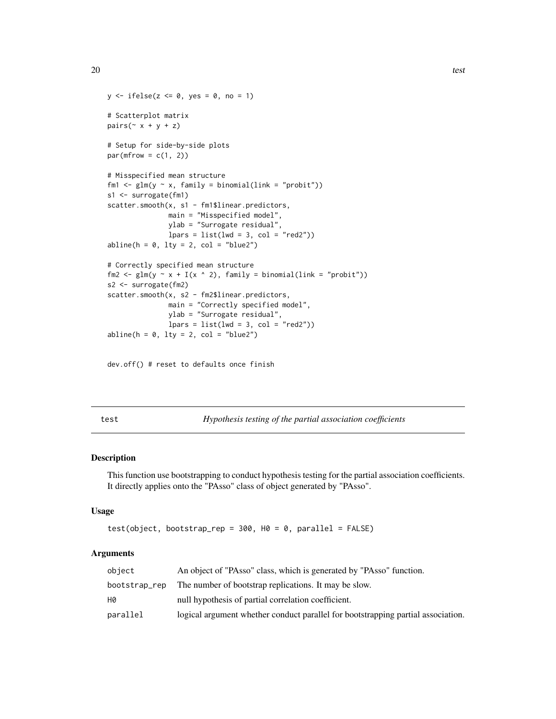```
y \leftarrow ifelse(z \leftarrow 0, yes = 0, no = 1)
# Scatterplot matrix
pairs(\sim x + y + z)
# Setup for side-by-side plots
par(mfrow = c(1, 2))# Misspecified mean structure
fm1 <- glm(y \sim x, family = binomial(link = "probit"))
s1 <- surrogate(fm1)
scatter.smooth(x, s1 - fm1$linear.predictors,
               main = "Misspecified model",
               ylab = "Surrogate residual",
               lparse = list(lwd = 3, col = "red2"))abline(h = 0, lty = 2, col = "blue2")# Correctly specified mean structure
fm2 <- glm(y \sim x + I(x \sim 2), family = binomial(link = "probit"))
s2 <- surrogate(fm2)
scatter.smooth(x, s2 - fm2$linear.predictors,
               main = "Correctly specified model",
               ylab = "Surrogate residual",
               lparse = list(lwd = 3, col = "red2"))abline(h = 0, 1ty = 2, col = "blue2")
```

```
dev.off() # reset to defaults once finish
```
test *Hypothesis testing of the partial association coefficients*

#### Description

This function use bootstrapping to conduct hypothesis testing for the partial association coefficients. It directly applies onto the "PAsso" class of object generated by "PAsso".

#### Usage

```
test(object, bootstrap_rep = 300, H0 = 0, parallel = FALSE)
```

| object   | An object of "PAsso" class, which is generated by "PAsso" function.              |
|----------|----------------------------------------------------------------------------------|
|          | bootstrap_rep The number of bootstrap replications. It may be slow.              |
| Н0       | null hypothesis of partial correlation coefficient.                              |
| parallel | logical argument whether conduct parallel for bootstrapping partial association. |

<span id="page-19-0"></span>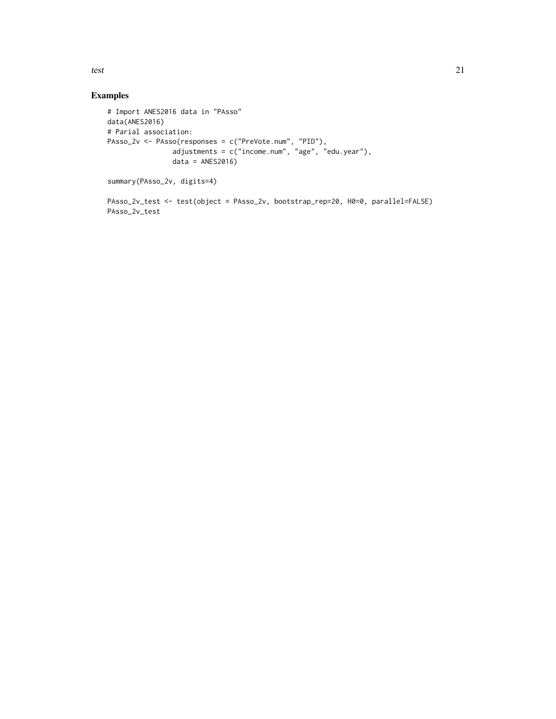test 21

## Examples

```
# Import ANES2016 data in "PAsso"
data(ANES2016)
# Parial association:
PAsso_2v <- PAsso(responses = c("PreVote.num", "PID"),
                adjustments = c("income.num", "age", "edu.year"),
                data = ANES2016)summary(PAsso_2v, digits=4)
```
PAsso\_2v\_test <- test(object = PAsso\_2v, bootstrap\_rep=20, H0=0, parallel=FALSE) PAsso\_2v\_test